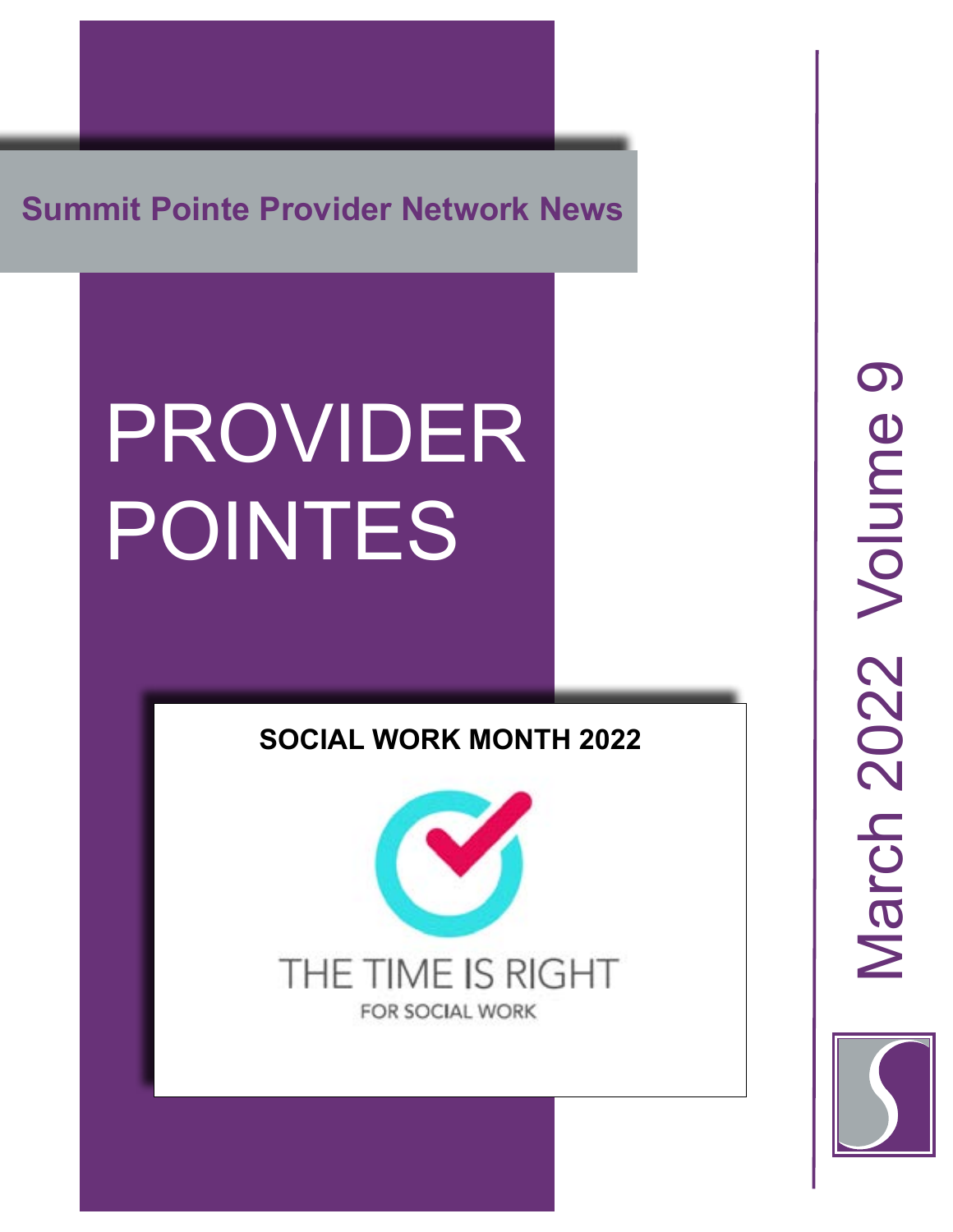**Summit Pointe Provider Network News**

# PROVIDER POINTES

#### **SOCIAL WORK MONTH 2022**



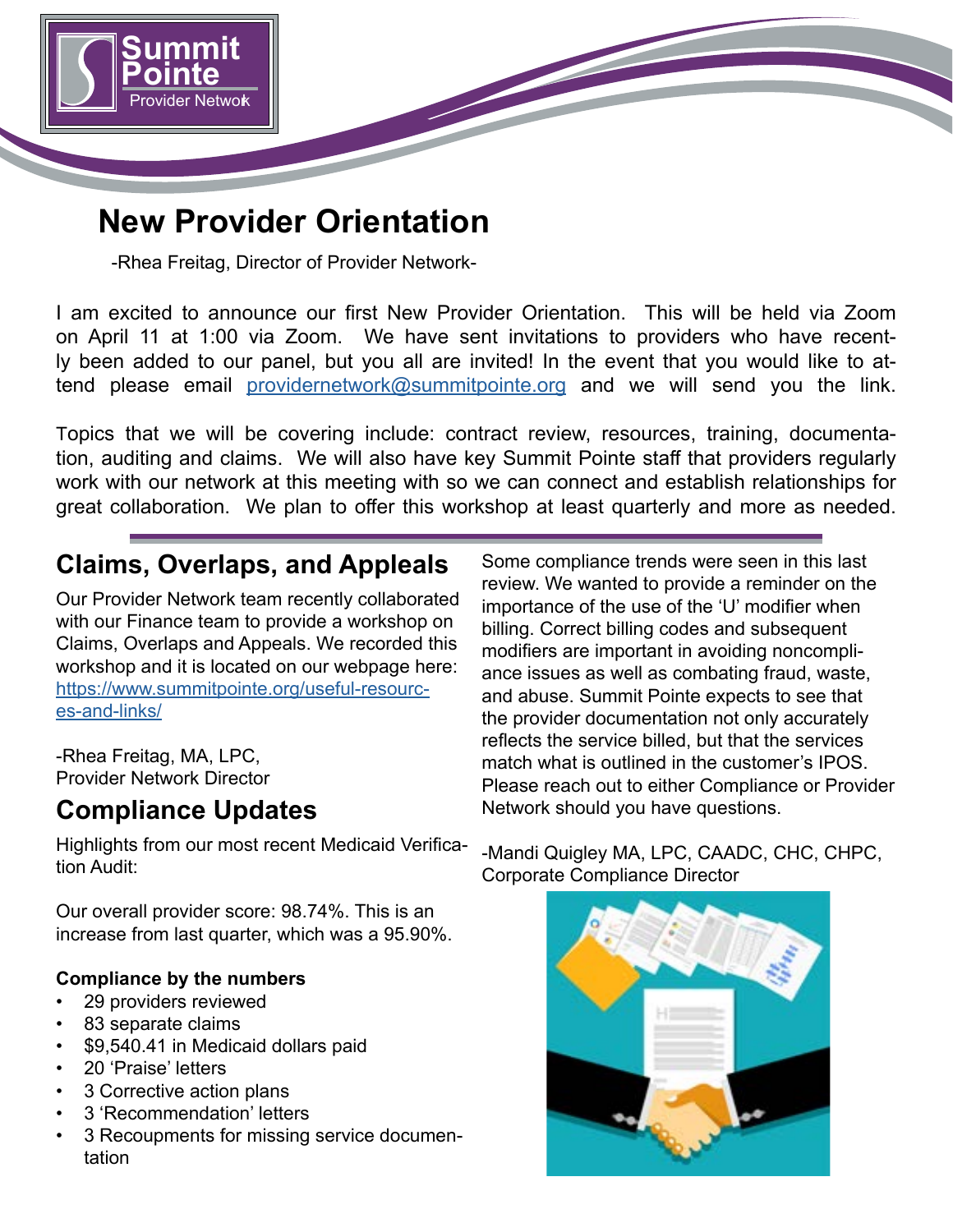

## **New Provider Orientation**

-Rhea Freitag, Director of Provider Network-

I am excited to announce our first New Provider Orientation. This will be held via Zoom on April 11 at 1:00 via Zoom. We have sent invitations to providers who have recently been added to our panel, but you all are invited! In the event that you would like to attend please email [providernetwork@summitpointe.org](mailto:providernetwork@summitpointe.org) and we will send you the link.

Topics that we will be covering include: contract review, resources, training, documentation, auditing and claims. We will also have key Summit Pointe staff that providers regularly work with our network at this meeting with so we can connect and establish relationships for great collaboration. We plan to offer this workshop at least quarterly and more as needed.

#### **Claims, Overlaps, and Appleals**

Our Provider Network team recently collaborated with our Finance team to provide a workshop on Claims, Overlaps and Appeals. We recorded this workshop and it is located on our webpage here: [https://www.summitpointe.org/useful-resourc](https://www.summitpointe.org/useful-resources-and-links/)[es-and-links/](https://www.summitpointe.org/useful-resources-and-links/)

-Rhea Freitag, MA, LPC, Provider Network Director

#### **Compliance Updates**

Highlights from our most recent Medicaid Verification Audit:

Our overall provider score: 98.74%. This is an increase from last quarter, which was a 95.90%.

#### **Compliance by the numbers**

- 29 providers reviewed
- 83 separate claims
- \$9,540.41 in Medicaid dollars paid
- 20 'Praise' letters
- 3 Corrective action plans
- 3 'Recommendation' letters
- 3 Recoupments for missing service documentation

Some compliance trends were seen in this last review. We wanted to provide a reminder on the importance of the use of the 'U' modifier when billing. Correct billing codes and subsequent modifiers are important in avoiding noncompliance issues as well as combating fraud, waste, and abuse. Summit Pointe expects to see that the provider documentation not only accurately reflects the service billed, but that the services match what is outlined in the customer's IPOS. Please reach out to either Compliance or Provider Network should you have questions.

-Mandi Quigley MA, LPC, CAADC, CHC, CHPC, Corporate Compliance Director